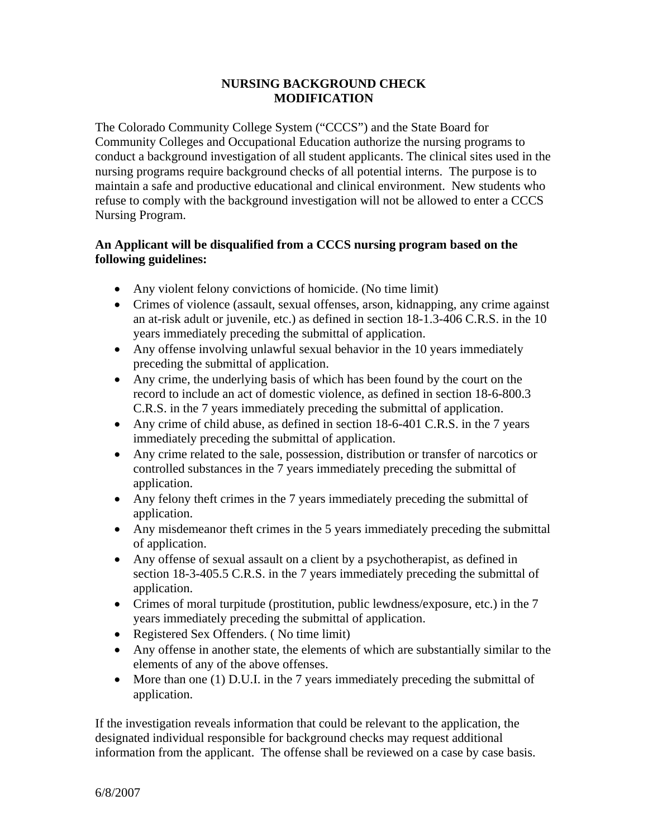## **NURSING BACKGROUND CHECK MODIFICATION**

The Colorado Community College System ("CCCS") and the State Board for Community Colleges and Occupational Education authorize the nursing programs to conduct a background investigation of all student applicants. The clinical sites used in the nursing programs require background checks of all potential interns. The purpose is to maintain a safe and productive educational and clinical environment. New students who refuse to comply with the background investigation will not be allowed to enter a CCCS Nursing Program.

## **An Applicant will be disqualified from a CCCS nursing program based on the following guidelines:**

- Any violent felony convictions of homicide. (No time limit)
- Crimes of violence (assault, sexual offenses, arson, kidnapping, any crime against an at-risk adult or juvenile, etc.) as defined in section 18-1.3-406 C.R.S. in the 10 years immediately preceding the submittal of application.
- Any offense involving unlawful sexual behavior in the 10 years immediately preceding the submittal of application.
- Any crime, the underlying basis of which has been found by the court on the record to include an act of domestic violence, as defined in section 18-6-800.3 C.R.S. in the 7 years immediately preceding the submittal of application.
- Any crime of child abuse, as defined in section 18-6-401 C.R.S. in the 7 years immediately preceding the submittal of application.
- Any crime related to the sale, possession, distribution or transfer of narcotics or controlled substances in the 7 years immediately preceding the submittal of application.
- Any felony theft crimes in the 7 years immediately preceding the submittal of application.
- Any misdemeanor theft crimes in the 5 years immediately preceding the submittal of application.
- Any offense of sexual assault on a client by a psychotherapist, as defined in section 18-3-405.5 C.R.S. in the 7 years immediately preceding the submittal of application.
- Crimes of moral turpitude (prostitution, public lewdness/exposure, etc.) in the 7 years immediately preceding the submittal of application.
- Registered Sex Offenders. ( No time limit)
- Any offense in another state, the elements of which are substantially similar to the elements of any of the above offenses.
- More than one (1) D.U.I. in the 7 years immediately preceding the submittal of application.

If the investigation reveals information that could be relevant to the application, the designated individual responsible for background checks may request additional information from the applicant. The offense shall be reviewed on a case by case basis.